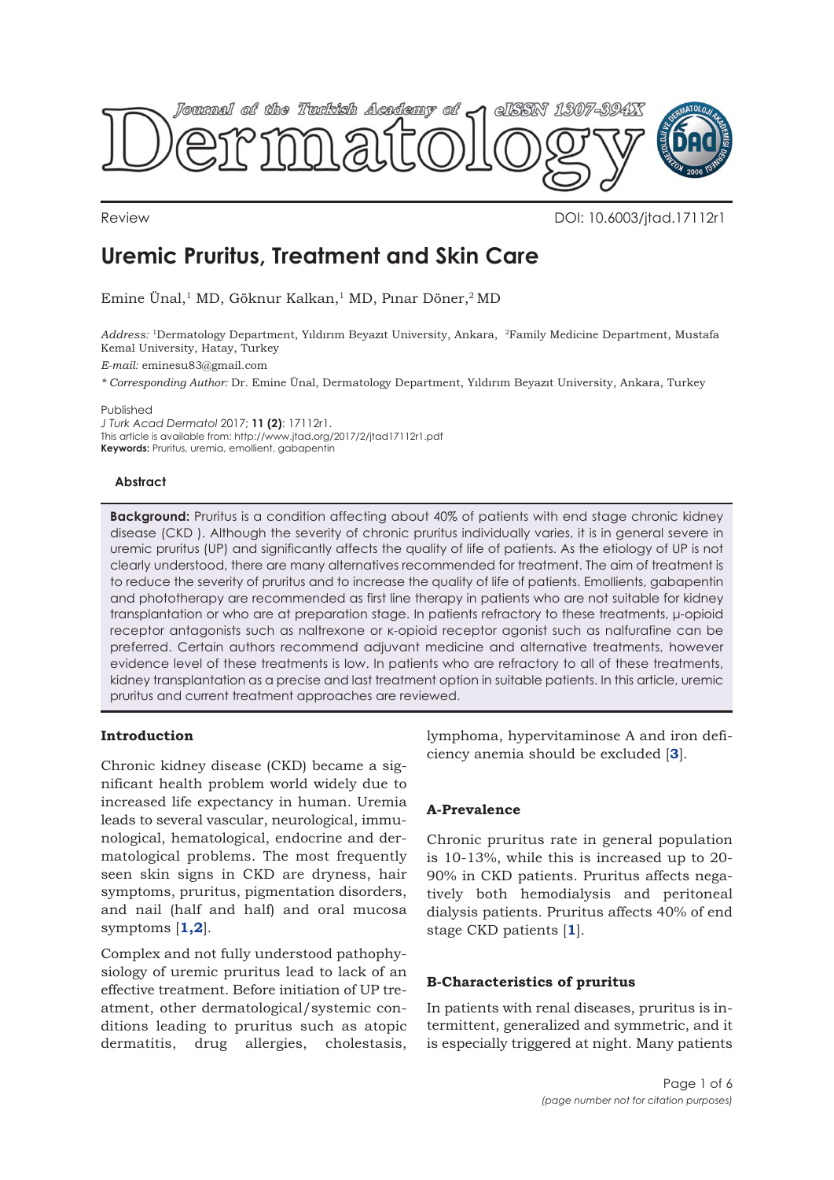

Review DOI: 10.6003/jtad.17112r1

# **Uremic Pruritus, Treatment and Skin Care**

Emine Ünal,<sup>1</sup> MD, Göknur Kalkan,<sup>1</sup> MD, Pınar Döner,<sup>2</sup> MD

*Address:* 1Dermatology Department, Yıldırım Beyazıt University, Ankara, 2Family Medicine Department, Mustafa Kemal University, Hatay, Turkey

*E-mail:* eminesu83@gmail.com

*\* Corresponding Author:* Dr. Emine Ünal, Dermatology Department, Yıldırım Beyazıt University, Ankara, Turkey

Published

*J Turk Acad Dermatol* 2017; **11 (2)**: 17112r1. This article is available from: http://www.jtad.org/2017/2/jtad17112r1.pdf **Keywords:** Pruritus, uremia, emollient, gabapentin

# **Abstract**

**Background:** Pruritus is a condition affecting about 40% of patients with end stage chronic kidney disease (CKD ). Although the severity of chronic pruritus individually varies, it is in general severe in uremic pruritus (UP) and significantly affects the quality of life of patients. As the etiology of UP is not clearly understood, there are many alternatives recommended for treatment. The aim of treatment is to reduce the severity of pruritus and to increase the quality of life of patients. Emollients, gabapentin and phototherapy are recommended as first line therapy in patients who are not suitable for kidney transplantation or who are at preparation stage. In patients refractory to these treatments, μ-opioid receptor antagonists such as naltrexone or κ-opioid receptor agonist such as nalfurafine can be preferred. Certain authors recommend adjuvant medicine and alternative treatments, however evidence level of these treatments is low. In patients who are refractory to all of these treatments, kidney transplantation as a precise and last treatment option in suitable patients. In this article, uremic pruritus and current treatment approaches are reviewed.

# **Introduction**

Chronic kidney disease (CKD) became a significant health problem world widely due to increased life expectancy in human. Uremia leads to several vascular, neurological, immunological, hematological, endocrine and dermatological problems. The most frequently seen skin signs in CKD are dryness, hair symptoms, pruritus, pigmentation disorders, and nail (half and half) and oral mucosa symptoms [**[1,2](#page-4-0)**].

Complex and not fully understood pathophysiology of uremic pruritus lead to lack of an effective treatment. Before initiation of UP treatment, other dermatological/systemic conditions leading to pruritus such as atopic dermatitis, drug allergies, cholestasis, lymphoma, hypervitaminose A and iron deficiency anemia should be excluded [**[3](#page-4-0)**].

# **A-Prevalence**

Chronic pruritus rate in general population is 10-13%, while this is increased up to 20- 90% in CKD patients. Pruritus affects negatively both hemodialysis and peritoneal dialysis patients. Pruritus affects 40% of end stage CKD patients [**[1](#page-4-0)**].

# **B-Characteristics of pruritus**

In patients with renal diseases, pruritus is intermittent, generalized and symmetric, and it is especially triggered at night. Many patients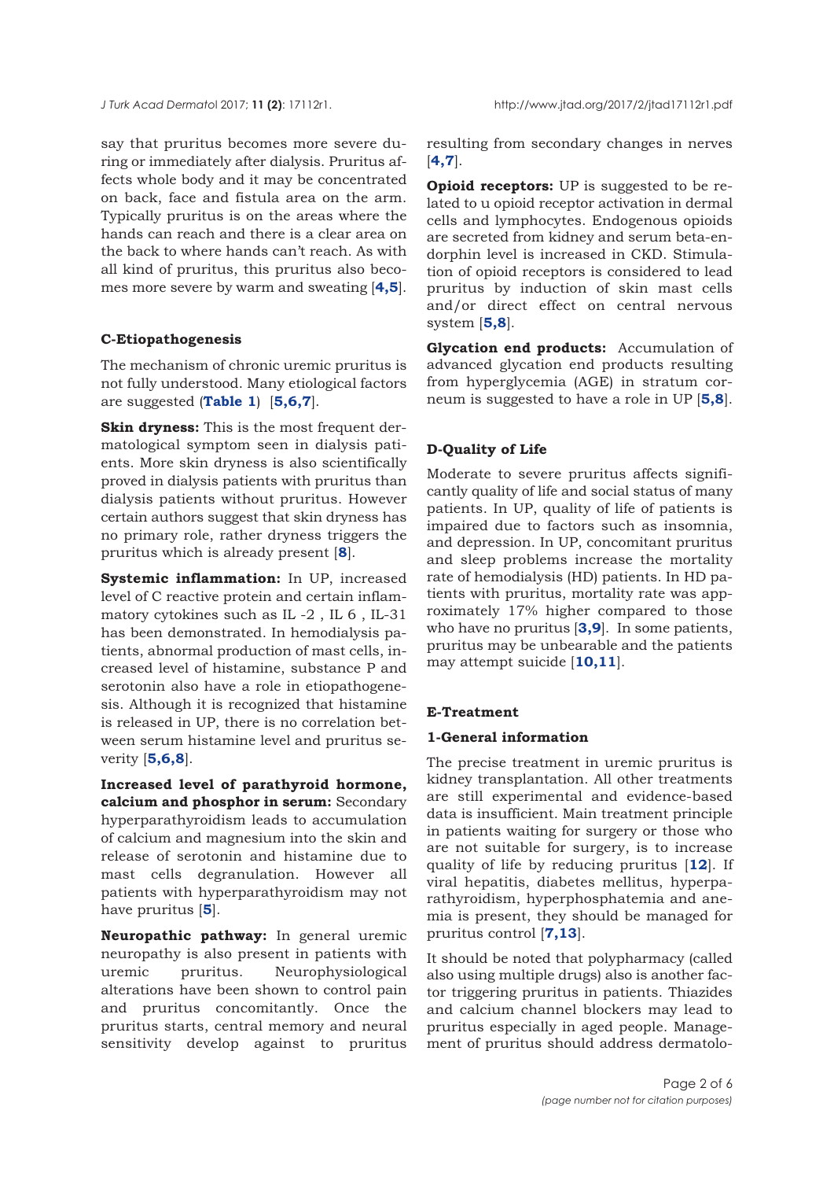say that pruritus becomes more severe during or immediately after dialysis. Pruritus affects whole body and it may be concentrated on back, face and fistula area on the arm. Typically pruritus is on the areas where the hands can reach and there is a clear area on the back to where hands can't reach. As with all kind of pruritus, this pruritus also becomes more severe by warm and sweating [**[4,5](#page-4-0)**].

## **C-Etiopathogenesis**

The mechanism of chronic uremic pruritus is not fully understood. Many etiological factors are suggested (**[Table 1](#page-3-0)**) [**[5](#page-4-0),[6](#page-4-0),[7](#page-4-0)**].

**Skin dryness:** This is the most frequent dermatological symptom seen in dialysis patients. More skin dryness is also scientifically proved in dialysis patients with pruritus than dialysis patients without pruritus. However certain authors suggest that skin dryness has no primary role, rather dryness triggers the pruritus which is already present [**[8](#page-4-0)**].

**Systemic inflammation:** In UP, increased level of C reactive protein and certain inflammatory cytokines such as IL -2 , IL 6 , IL-31 has been demonstrated. In hemodialysis patients, abnormal production of mast cells, increased level of histamine, substance P and serotonin also have a role in etiopathogenesis. Although it is recognized that histamine is released in UP, there is no correlation between serum histamine level and pruritus severity [**[5,6,8](#page-4-0)**].

**Increased level of parathyroid hormone, calcium and phosphor in serum:** Secondary hyperparathyroidism leads to accumulation of calcium and magnesium into the skin and release of serotonin and histamine due to mast cells degranulation. However all patients with hyperparathyroidism may not have pruritus [**[5](#page-4-0)**].

**Neuropathic pathway:** In general uremic neuropathy is also present in patients with uremic pruritus. Neurophysiological alterations have been shown to control pain and pruritus concomitantly. Once the pruritus starts, central memory and neural sensitivity develop against to pruritus

resulting from secondary changes in nerves [**[4](#page-4-0),[7](#page-4-0)**].

**Opioid receptors:** UP is suggested to be related to u opioid receptor activation in dermal cells and lymphocytes. Endogenous opioids are secreted from kidney and serum beta-endorphin level is increased in CKD. Stimulation of opioid receptors is considered to lead pruritus by induction of skin mast cells and/or direct effect on central nervous system [**[5,8](#page-4-0)**].

**Glycation end products:** Accumulation of advanced glycation end products resulting from hyperglycemia (AGE) in stratum corneum is suggested to have a role in UP [**[5,8](#page-4-0)**].

# **D-Quality of Life**

Moderate to severe pruritus affects significantly quality of life and social status of many patients. In UP, quality of life of patients is impaired due to factors such as insomnia, and depression. In UP, concomitant pruritus and sleep problems increase the mortality rate of hemodialysis (HD) patients. In HD patients with pruritus, mortality rate was approximately 17% higher compared to those who have no pruritus [**[3](#page-4-0),[9](#page-4-0)**]. In some patients, pruritus may be unbearable and the patients may attempt suicide [**[10,11](#page-4-0)**].

## **E-Treatment**

## **1-General information**

The precise treatment in uremic pruritus is kidney transplantation. All other treatments are still experimental and evidence-based data is insufficient. Main treatment principle in patients waiting for surgery or those who are not suitable for surgery, is to increase quality of life by reducing pruritus [**[12](#page-4-0)**]. If viral hepatitis, diabetes mellitus, hyperparathyroidism, hyperphosphatemia and anemia is present, they should be managed for pruritus control [**[7,13](#page-4-0)**].

It should be noted that polypharmacy (called also using multiple drugs) also is another factor triggering pruritus in patients. Thiazides and calcium channel blockers may lead to pruritus especially in aged people. Management of pruritus should address dermatolo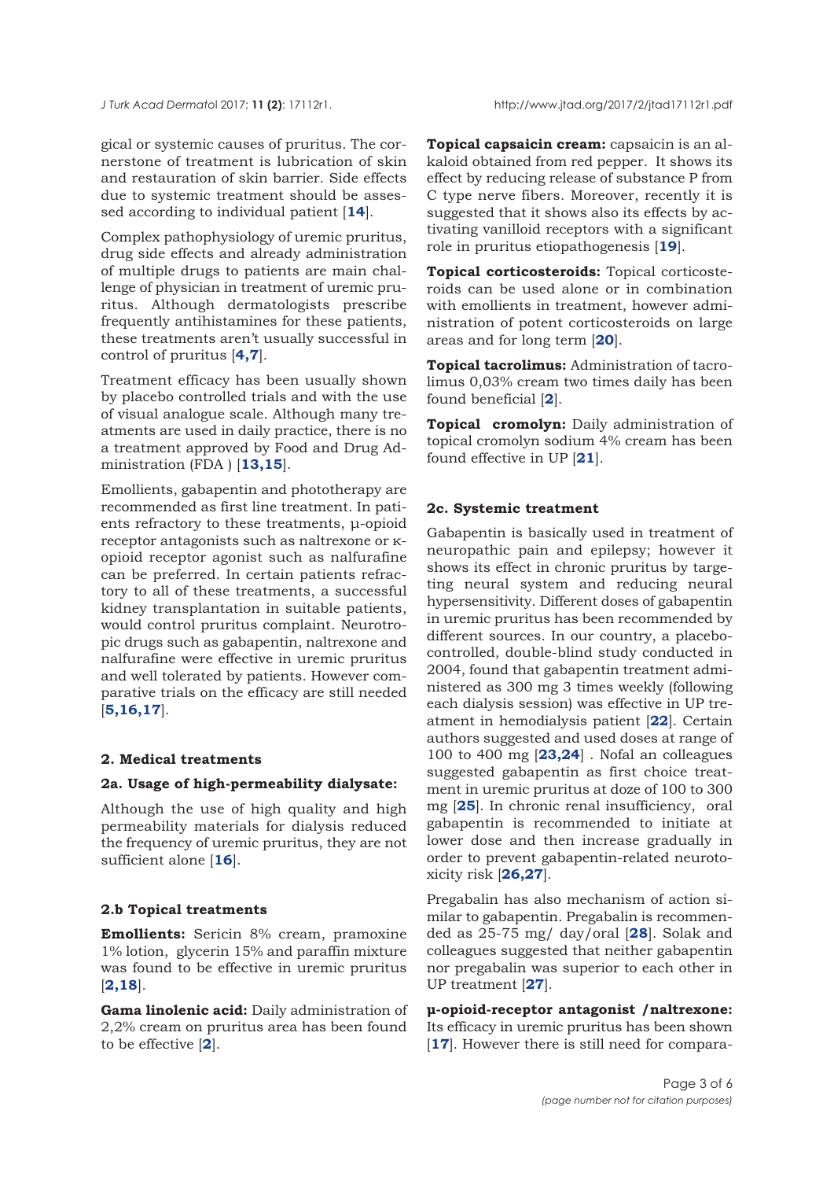gical or systemic causes of pruritus. The cornerstone of treatment is lubrication of skin and restauration of skin barrier. Side effects due to systemic treatment should be assessed according to individual patient [**[14](#page-4-0)**].

Complex pathophysiology of uremic pruritus, drug side effects and already administration of multiple drugs to patients are main challenge of physician in treatment of uremic pruritus. Although dermatologists prescribe frequently antihistamines for these patients, these treatments aren't usually successful in control of pruritus [**[4,7](#page-4-0)**].

Treatment efficacy has been usually shown by placebo controlled trials and with the use of visual analogue scale. Although many treatments are used in daily practice, there is no a treatment approved by Food and Drug Administration (FDA ) [**[13](#page-4-0),[15](#page-4-0)**].

Emollients, gabapentin and phototherapy are recommended as first line treatment. In patients refractory to these treatments, μ-opioid receptor antagonists such as naltrexone or κopioid receptor agonist such as nalfurafine can be preferred. In certain patients refractory to all of these treatments, a successful kidney transplantation in suitable patients, would control pruritus complaint. Neurotropic drugs such as gabapentin, naltrexone and nalfurafine were effective in uremic pruritus and well tolerated by patients. However comparative trials on the efficacy are still needed [**[5,16](#page-4-0),[17](#page-4-0)**].

## **2. Medical treatments**

## **2a. Usage of high-permeability dialysate:**

Although the use of high quality and high permeability materials for dialysis reduced the frequency of uremic pruritus, they are not sufficient alone [**[16](#page-4-0)**].

#### **2.b Topical treatments**

**Emollients:** Sericin 8% cream, pramoxine 1% lotion, glycerin 15% and paraffin mixture was found to be effective in uremic pruritus [**[2,18](#page-4-0)**].

**Gama linolenic acid:** Daily administration of 2,2% cream on pruritus area has been found to be effective [**[2](#page-4-0)**].

**Topical capsaicin cream:** capsaicin is an alkaloid obtained from red pepper. It shows its effect by reducing release of substance P from C type nerve fibers. Moreover, recently it is suggested that it shows also its effects by activating vanilloid receptors with a significant role in pruritus etiopathogenesis [**[19](#page-4-0)**].

**Topical corticosteroids:** Topical corticosteroids can be used alone or in combination with emollients in treatment, however administration of potent corticosteroids on large areas and for long term [**[20](#page-4-0)**].

**Topical tacrolimus:** Administration of tacrolimus 0,03% cream two times daily has been found beneficial [**[2](#page-4-0)**].

**Topical cromolyn:** Daily administration of topical cromolyn sodium 4% cream has been found effective in UP [**[21](#page-4-0)**].

#### **2c. Systemic treatment**

Gabapentin is basically used in treatment of neuropathic pain and epilepsy; however it shows its effect in chronic pruritus by targeting neural system and reducing neural hypersensitivity. Different doses of gabapentin in uremic pruritus has been recommended by different sources. In our country, a placebocontrolled, double-blind study conducted in 2004, found that gabapentin treatment administered as 300 mg 3 times weekly (following each dialysis session) was effective in UP treatment in hemodialysis patient [**[22](#page-5-0)**]. Certain authors suggested and used doses at range of 100 to 400 mg [**[23,24](#page-5-0)**] . Nofal an colleagues suggested gabapentin as first choice treatment in uremic pruritus at doze of 100 to 300 mg [**[25](#page-5-0)**]. In chronic renal insufficiency, oral gabapentin is recommended to initiate at lower dose and then increase gradually in order to prevent gabapentin-related neurotoxicity risk [**[26](#page-5-0),[27](#page-5-0)**].

Pregabalin has also mechanism of action similar to gabapentin. Pregabalin is recommended as 25-75 mg/ day/oral [**[28](#page-5-0)**]. Solak and colleagues suggested that neither gabapentin nor pregabalin was superior to each other in UP treatment [**[27](#page-5-0)**].

**μ-opioid-receptor antagonist /naltrexone:** Its efficacy in uremic pruritus has been shown [[17](#page-4-0)]. However there is still need for compara-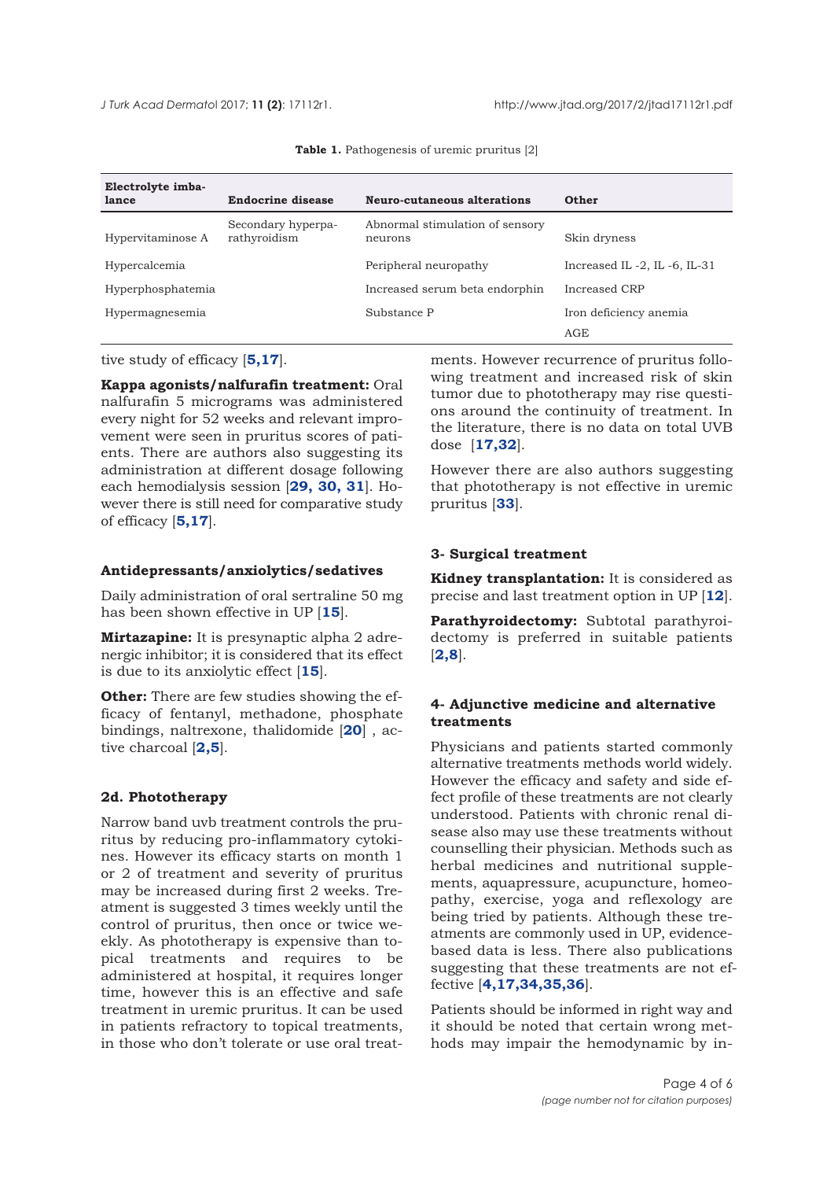<span id="page-3-0"></span>

| Electrolyte imba- |                                    |                                            |                             |
|-------------------|------------------------------------|--------------------------------------------|-----------------------------|
| lance             | <b>Endocrine disease</b>           | Neuro-cutaneous alterations                | Other                       |
| Hypervitaminose A | Secondary hyperpa-<br>rathyroidism | Abnormal stimulation of sensory<br>neurons | Skin dryness                |
| Hypercalcemia     |                                    | Peripheral neuropathy                      | Increased IL-2, IL-6, IL-31 |
| Hyperphosphatemia |                                    | Increased serum beta endorphin             | Increased CRP               |
| Hypermagnesemia   |                                    | Substance P                                | Iron deficiency anemia      |
|                   |                                    |                                            | AGE                         |

**Table 1.** Pathogenesis of uremic pruritus [2]

tive study of efficacy [**[5,17](#page-4-0)**].

**Kappa agonists/nalfurafin treatment:** Oral nalfurafin 5 micrograms was administered every night for 52 weeks and relevant improvement were seen in pruritus scores of patients. There are authors also suggesting its administration at different dosage following each hemodialysis session [**[29,](#page-5-0) [30](#page-5-0), [31](#page-5-0)**]. However there is still need for comparative study of efficacy [**[5](#page-4-0),[17](#page-4-0)**].

#### **Antidepressants/anxiolytics/sedatives**

Daily administration of oral sertraline 50 mg has been shown effective in UP [**[15](#page-4-0)**].

**Mirtazapine:** It is presynaptic alpha 2 adrenergic inhibitor; it is considered that its effect is due to its anxiolytic effect [**[15](#page-4-0)**].

**Other:** There are few studies showing the efficacy of fentanyl, methadone, phosphate bindings, naltrexone, thalidomide [**[20](#page-4-0)**] , active charcoal [**[2,5](#page-4-0)**].

### **2d. Phototherapy**

Narrow band uvb treatment controls the pruritus by reducing pro-inflammatory cytokines. However its efficacy starts on month 1 or 2 of treatment and severity of pruritus may be increased during first 2 weeks. Treatment is suggested 3 times weekly until the control of pruritus, then once or twice weekly. As phototherapy is expensive than topical treatments and requires to be administered at hospital, it requires longer time, however this is an effective and safe treatment in uremic pruritus. It can be used in patients refractory to topical treatments, in those who don't tolerate or use oral treatments. However recurrence of pruritus following treatment and increased risk of skin tumor due to phototherapy may rise questions around the continuity of treatment. In the literature, there is no data on total UVB dose [**[17](#page-4-0),[32](#page-5-0)**].

However there are also authors suggesting that phototherapy is not effective in uremic pruritus [**[33](#page-5-0)**].

### **3- Surgical treatment**

**Kidney transplantation:** It is considered as precise and last treatment option in UP [**[12](#page-4-0)**].

**Parathyroidectomy:** Subtotal parathyroidectomy is preferred in suitable patients [**[2](#page-4-0),[8](#page-4-0)**].

# **4- Adjunctive medicine and alternative treatments**

Physicians and patients started commonly alternative treatments methods world widely. However the efficacy and safety and side effect profile of these treatments are not clearly understood. Patients with chronic renal disease also may use these treatments without counselling their physician. Methods such as herbal medicines and nutritional supplements, aquapressure, acupuncture, homeopathy, exercise, yoga and reflexology are being tried by patients. Although these treatments are commonly used in UP, evidencebased data is less. There also publications suggesting that these treatments are not effective [**[4](#page-4-0),[17,](#page-4-0)[34](#page-5-0),[35,](#page-5-0)36**].

Patients should be informed in right way and it should be noted that certain wrong methods may impair the hemodynamic by in-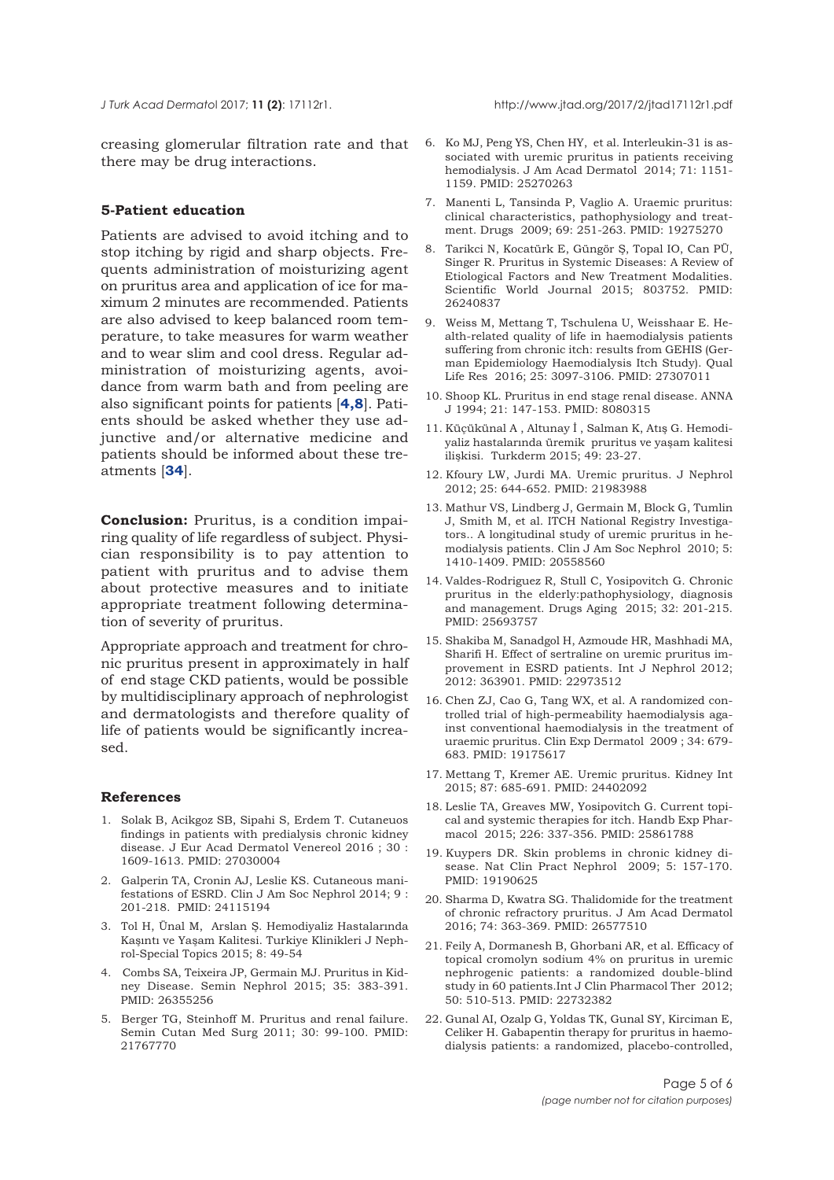<span id="page-4-0"></span>

creasing glomerular filtration r[ate](#page-5-0) and that there may be drug interactions.

## **5-Patient education**

Patients are advised to avoid itching and to stop itching by rigid and sharp objects. Frequents administration of moisturizing agent on pruritus area and application of ice for maximum 2 minutes are recommended. Patients are also advised to keep balanced room temperature, to take measures for warm weather and to wear slim and cool dress. Regular administration of moisturizing agents, avoidance from warm bath and from peeling are also significant points for patients [**4,8**]. Patients should be asked whether they use adjunctive and/or alternative medicine and patients should be informed about these treatments [**[34](#page-5-0)**].

**Conclusion:** Pruritus, is a condition impairing quality of life regardless of subject. Physician responsibility is to pay attention to patient with pruritus and to advise them about protective measures and to initiate appropriate treatment following determination of severity of pruritus.

Appropriate approach and treatment for chronic pruritus present in approximately in half of end stage CKD patients, would be possible by multidisciplinary approach of nephrologist and dermatologists and therefore quality of life of patients would be significantly increased.

#### **References**

- 1. Solak B, Acikgoz SB, Sipahi S, Erdem T. Cutaneuos findings in patients with predialysis chronic kidney disease. J Eur Acad Dermatol Venereol 2016 ; 30 : 1609-1613. PMID: 27030004
- 2. Galperin TA, Cronin AJ, Leslie KS. Cutaneous manifestations of ESRD. Clin J Am Soc Nephrol 2014; 9 : 201-218. PMID: 24115194
- 3. Tol H, Ünal M, Arslan Ş. Hemodiyaliz Hastalarında Kaşıntı ve Yaşam Kalitesi. Turkiye Klinikleri J Nephrol-Special Topics 2015; 8: 49-54
- 4. Combs SA, Teixeira JP, Germain MJ. Pruritus in Kidney Disease. Semin Nephrol 2015; 35: 383-391. PMID: 26355256
- 5. Berger TG, Steinhoff M. Pruritus and renal failure. Semin Cutan Med Surg 2011; 30: 99-100. PMID: 21767770
- 6. Ko MJ, Peng YS, Chen HY, et al. Interleukin-31 is associated with uremic pruritus in patients receiving hemodialysis. J Am Acad Dermatol 2014; 71: 1151- 1159. PMID: 25270263
- 7. Manenti L, Tansinda P, Vaglio A. Uraemic pruritus: clinical characteristics, pathophysiology and treatment. Drugs 2009; 69: 251-263. PMID: 19275270
- 8. Tarikci N, Kocatürk E, Güngör Ş, Topal IO, Can PÜ, Singer R. Pruritus in Systemic Diseases: A Review of Etiological Factors and New Treatment Modalities. Scientific World Journal 2015; 803752. PMID: 26240837
- 9. Weiss M, Mettang T, Tschulena U, Weisshaar E. Health-related quality of life in haemodialysis patients suffering from chronic itch: results from GEHIS (German Epidemiology Haemodialysis Itch Study). Qual Life Res 2016; 25: 3097-3106. PMID: 27307011
- 10. Shoop KL. Pruritus in end stage renal disease. ANNA J 1994; 21: 147-153. PMID: 8080315
- 11. Küçükünal A , Altunay İ , Salman K, Atış G. Hemodiyaliz hastalarında üremik pruritus ve yaşam kalitesi ilişkisi. Turkderm 2015; 49: 23-27.
- 12. Kfoury LW, Jurdi MA. Uremic pruritus. J Nephrol 2012; 25: 644-652. PMID: 21983988
- 13. Mathur VS, Lindberg J, Germain M, Block G, Tumlin J, Smith M, et al. ITCH National Registry Investigators.. A longitudinal study of uremic pruritus in hemodialysis patients. Clin J Am Soc Nephrol 2010; 5: 1410-1409. PMID: 20558560
- 14. Valdes-Rodriguez R, Stull C, Yosipovitch G. Chronic pruritus in the elderly:pathophysiology, diagnosis and management. Drugs Aging 2015; 32: 201-215. PMID: 25693757
- 15. Shakiba M, Sanadgol H, Azmoude HR, Mashhadi MA, Sharifi H. Effect of sertraline on uremic pruritus improvement in ESRD patients. Int J Nephrol 2012; 2012: 363901. PMID: 22973512
- 16. Chen ZJ, Cao G, Tang WX, et al. A randomized controlled trial of high-permeability haemodialysis against conventional haemodialysis in the treatment of uraemic pruritus. Clin Exp Dermatol 2009 ; 34: 679- 683. PMID: 19175617
- 17. Mettang T, Kremer AE. Uremic pruritus. Kidney Int 2015; 87: 685-691. PMID: 24402092
- 18. Leslie TA, Greaves MW, Yosipovitch G. Current topical and systemic therapies for itch. Handb Exp Pharmacol 2015; 226: 337-356. PMID: 25861788
- 19. Kuypers DR. Skin problems in chronic kidney disease. Nat Clin Pract Nephrol 2009; 5: 157-170. PMID: 19190625
- 20. Sharma D, Kwatra SG. Thalidomide for the treatment of chronic refractory pruritus. J Am Acad Dermatol 2016; 74: 363-369. PMID: 26577510
- 21. Feily A, Dormanesh B, Ghorbani AR, et al. Efficacy of topical cromolyn sodium 4% on pruritus in uremic nephrogenic patients: a randomized double-blind study in 60 patients.Int J Clin Pharmacol Ther 2012; 50: 510-513. PMID: 22732382
- 22. Gunal AI, Ozalp G, Yoldas TK, Gunal SY, Kirciman E, Celiker H. Gabapentin therapy for pruritus in haemodialysis patients: a randomized, placebo-controlled,